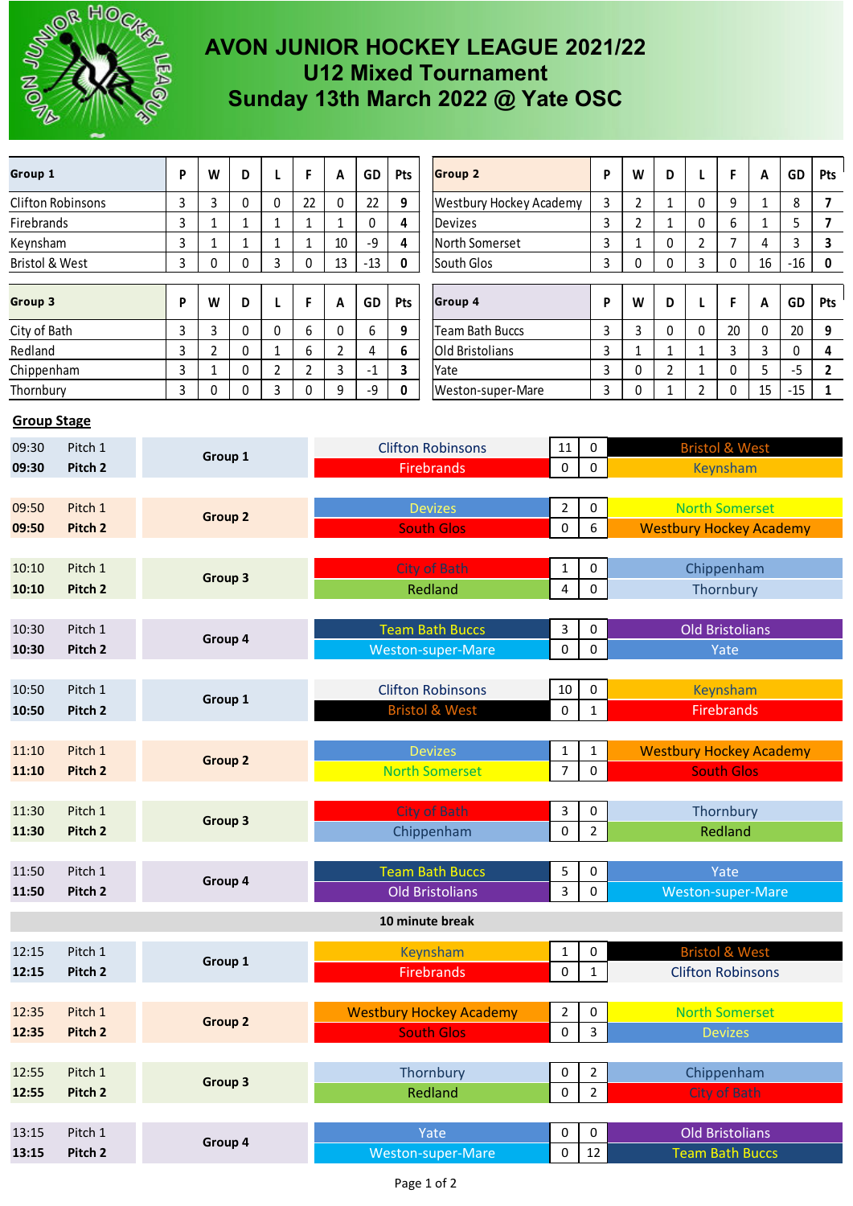

## **AVON JUNIOR HOCKEY LEAGUE 2021/22 U12 Mixed Tournament Sunday 13th March 2022 @ Yate OSC**

| Group 1                                                                        |                    |                | P              | W                      | D                             | L                                       | F                              | A                                                | GD                             | Pts            | <b>Group 2</b>                 |                                  | P                              | W                              | D                 | L                         | F               | A            | GD    | Pts                     |
|--------------------------------------------------------------------------------|--------------------|----------------|----------------|------------------------|-------------------------------|-----------------------------------------|--------------------------------|--------------------------------------------------|--------------------------------|----------------|--------------------------------|----------------------------------|--------------------------------|--------------------------------|-------------------|---------------------------|-----------------|--------------|-------|-------------------------|
| <b>Clifton Robinsons</b>                                                       |                    |                | 3              | $\mathbf{3}$           | $\pmb{0}$                     | 0                                       | 22                             | $\mathbf{0}$                                     | 22                             | 9              | <b>Westbury Hockey Academy</b> |                                  | 3                              | $\overline{2}$                 | $\mathbf{1}$      | 0                         | 9               | 1            | 8     | $\overline{7}$          |
| Firebrands                                                                     |                    |                | 3              | $\mathbf 1$            | 1                             | 1                                       | $\mathbf{1}$                   | 1                                                | 0                              | 4              | <b>Devizes</b>                 |                                  | 3                              | $\overline{a}$                 | $\mathbf{1}$      | 0                         | 6               | $\mathbf{1}$ | 5     | $\overline{\mathbf{z}}$ |
| Keynsham                                                                       |                    |                | 3              | $\mathbf{1}$           | $\mathbf{1}$                  | 1                                       | $\mathbf 1$                    | 10                                               | $-9$                           | 4              | North Somerset                 |                                  | 3                              | $\mathbf{1}$                   | 0                 | $\overline{2}$            | $\overline{7}$  | 4            | 3     | 3                       |
| Bristol & West                                                                 |                    |                | 3              | $\mathbf 0$            | 0                             | 3                                       | 0                              | 13                                               | $-13$                          | 0              | South Glos                     |                                  | 3                              | 0                              | 0                 | 3                         | 0               | 16           | $-16$ | 0                       |
| Group 3                                                                        |                    |                | P              | W                      | D                             | L                                       | F                              | A                                                | GD                             | Pts            | <b>Group 4</b>                 |                                  | P                              | W                              | D                 | L                         | F               | Α            | GD    | Pts                     |
| City of Bath                                                                   |                    |                | 3              | 3                      | 0                             | 0                                       | 6                              | 0                                                | 6                              | 9              | <b>Team Bath Buccs</b>         |                                  | 3                              | 3                              | 0                 | 0                         | 20              | 0            | 20    | 9                       |
| Redland                                                                        |                    |                | 3              | $\overline{2}$         | $\Omega$                      | 1                                       | 6                              | $\overline{2}$                                   | 4                              | 6              | <b>Old Bristolians</b>         |                                  | 3                              | $\mathbf{1}$                   | $\mathbf{1}$      | 1                         | 3               | 3            | 0     | 4                       |
| Chippenham                                                                     |                    |                | 3              | $\mathbf{1}$           | 0                             | $\overline{2}$                          | $\overline{2}$                 | 3                                                | $-1$                           | 3              | Yate                           |                                  | 3                              | 0                              | $\overline{2}$    | $\mathbf{1}$              | 0               | 5            | $-5$  | $\overline{2}$          |
| Thornbury                                                                      |                    |                | 3              | $\mathbf 0$            | 0                             | 3                                       | 0                              | 9                                                | -9                             | 0              | Weston-super-Mare              |                                  |                                | 0                              | $\mathbf{1}$      | $\overline{2}$            | 0               | 15           | $-15$ | $\mathbf{1}$            |
| <b>Group Stage</b>                                                             |                    |                |                |                        |                               |                                         |                                |                                                  |                                |                |                                |                                  |                                |                                |                   |                           |                 |              |       |                         |
| 09:30<br>Pitch 1<br>09:30<br>Pitch <sub>2</sub>                                |                    |                |                |                        |                               |                                         |                                |                                                  | <b>Clifton Robinsons</b><br>11 |                |                                |                                  | 0                              |                                |                   | <b>Bristol &amp; West</b> |                 |              |       |                         |
|                                                                                |                    |                | Group 1        |                        |                               |                                         |                                | <b>Firebrands</b>                                |                                |                | $\Omega$                       | 0                                |                                |                                |                   | <b>Keynsham</b>           |                 |              |       |                         |
|                                                                                |                    |                |                |                        |                               |                                         |                                |                                                  |                                |                |                                |                                  |                                |                                |                   |                           |                 |              |       |                         |
| Pitch 1<br>09:50                                                               |                    |                | <b>Group 2</b> |                        |                               |                                         |                                | <b>Devizes</b><br>$\overline{2}$                 |                                |                |                                |                                  | 0                              |                                |                   | <b>North Somerset</b>     |                 |              |       |                         |
| 09:50                                                                          | Pitch <sub>2</sub> |                |                |                        |                               |                                         | <b>South Glos</b><br>0         |                                                  |                                |                |                                | 6                                | <b>Westbury Hockey Academy</b> |                                |                   |                           |                 |              |       |                         |
|                                                                                |                    |                |                |                        |                               |                                         |                                |                                                  |                                |                |                                |                                  |                                |                                |                   |                           |                 |              |       |                         |
| Pitch 1<br>10:10<br>Group 3                                                    |                    |                |                | City of Bath<br>1      |                               |                                         |                                |                                                  | 0                              | Chippenham     |                                |                                  |                                |                                |                   |                           |                 |              |       |                         |
| 10:10                                                                          | Pitch <sub>2</sub> |                |                |                        |                               |                                         | Redland<br>4                   |                                                  |                                |                |                                | 0                                | Thornbury                      |                                |                   |                           |                 |              |       |                         |
| Pitch 1<br>10:30                                                               |                    |                |                |                        |                               |                                         |                                | <b>Team Bath Buccs</b><br>3                      |                                |                |                                | 0                                | <b>Old Bristolians</b>         |                                |                   |                           |                 |              |       |                         |
| Group 4<br>10:30<br>Pitch <sub>2</sub>                                         |                    |                |                |                        | <b>Weston-super-Mare</b><br>0 |                                         |                                |                                                  |                                | 0              | Yate                           |                                  |                                |                                |                   |                           |                 |              |       |                         |
|                                                                                |                    |                |                |                        |                               |                                         |                                |                                                  |                                |                |                                |                                  |                                |                                |                   |                           |                 |              |       |                         |
| 10:50<br>Pitch 1                                                               |                    |                | Group 1        |                        |                               |                                         |                                | <b>Clifton Robinsons</b><br>10                   |                                |                |                                |                                  | 0                              |                                |                   |                           | <b>Keynsham</b> |              |       |                         |
| 10:50                                                                          | Pitch <sub>2</sub> |                |                |                        |                               | <b>Bristol &amp; West</b><br>0          |                                |                                                  |                                |                | $\mathbf{1}$                   | <b>Firebrands</b>                |                                |                                |                   |                           |                 |              |       |                         |
| Pitch 1<br>11:10                                                               |                    |                |                |                        |                               |                                         | <b>Devizes</b><br>$\mathbf{1}$ |                                                  |                                |                |                                | $\mathbf{1}$                     |                                | <b>Westbury Hockey Academy</b> |                   |                           |                 |              |       |                         |
| 11:10                                                                          | Pitch <sub>2</sub> | <b>Group 2</b> |                |                        |                               | <b>North Somerset</b><br>$\overline{7}$ |                                |                                                  |                                |                | 0                              |                                  |                                |                                | <b>South Glos</b> |                           |                 |              |       |                         |
|                                                                                |                    |                |                |                        |                               |                                         |                                | City of Bath                                     |                                |                |                                |                                  |                                | Thornbury                      |                   |                           |                 |              |       |                         |
| 11:30<br>Pitch 1                                                               |                    |                | Group 3        |                        |                               |                                         |                                |                                                  |                                |                |                                | 3<br>$\pmb{0}$                   | 0<br>$\overline{2}$            | Redland                        |                   |                           |                 |              |       |                         |
| Pitch 2<br>11:30                                                               |                    |                |                |                        |                               |                                         |                                |                                                  | Chippenham                     |                |                                |                                  |                                |                                |                   |                           |                 |              |       |                         |
| 11:50<br>Pitch 1                                                               |                    |                |                |                        |                               |                                         |                                | <b>Team Bath Buccs</b><br>5                      |                                |                |                                |                                  | 0                              |                                |                   |                           | Yate            |              |       |                         |
| Pitch 2<br>11:50                                                               |                    |                | Group 4        |                        |                               |                                         |                                | <b>Old Bristolians</b><br>3                      |                                |                |                                |                                  | 0                              | Weston-super-Mare              |                   |                           |                 |              |       |                         |
|                                                                                |                    |                |                |                        |                               |                                         |                                |                                                  |                                |                | 10 minute break                |                                  |                                |                                |                   |                           |                 |              |       |                         |
| Keynsham<br><b>Bristol &amp; West</b><br>Pitch 1<br>12:15<br>0<br>$\mathbf{1}$ |                    |                |                |                        |                               |                                         |                                |                                                  |                                |                |                                |                                  |                                |                                |                   |                           |                 |              |       |                         |
| Group 1<br>12:15<br>Pitch 2                                                    |                    |                |                |                        |                               |                                         |                                |                                                  | <b>Firebrands</b>              | $\mathbf{1}$   | <b>Clifton Robinsons</b>       |                                  |                                |                                |                   |                           |                 |              |       |                         |
|                                                                                |                    |                |                |                        |                               |                                         |                                |                                                  |                                |                |                                |                                  |                                |                                |                   |                           |                 |              |       |                         |
| Pitch 1<br>12:35                                                               |                    |                | Group 2        |                        |                               |                                         |                                | <b>Westbury Hockey Academy</b><br>$\overline{2}$ |                                |                |                                |                                  | 0                              | <b>North Somerset</b>          |                   |                           |                 |              |       |                         |
| 12:35<br>Pitch 2                                                               |                    |                |                | <b>South Glos</b><br>0 |                               |                                         |                                |                                                  | 3                              | <b>Devizes</b> |                                |                                  |                                |                                |                   |                           |                 |              |       |                         |
|                                                                                |                    |                |                |                        |                               |                                         |                                |                                                  |                                |                |                                |                                  |                                |                                |                   |                           |                 |              |       |                         |
| Pitch 1<br>12:55                                                               |                    |                | Group 3        |                        |                               |                                         |                                | Thornbury<br>0<br>Redland<br>$\mathbf 0$         |                                |                |                                | $\overline{2}$<br>$\overline{2}$ | Chippenham<br>City of Bath     |                                |                   |                           |                 |              |       |                         |
| 12:55                                                                          | Pitch 2            |                |                |                        |                               |                                         |                                |                                                  |                                |                |                                |                                  |                                |                                |                   |                           |                 |              |       |                         |
| Pitch 1<br>13:15                                                               |                    |                | Group 4        |                        |                               |                                         |                                | Yate<br>0                                        |                                |                |                                |                                  | 0                              |                                |                   | <b>Old Bristolians</b>    |                 |              |       |                         |
| Pitch 2<br>13:15                                                               |                    |                |                |                        |                               |                                         |                                | Weston-super-Mare                                |                                |                |                                |                                  | 12                             |                                |                   | <b>Team Bath Buccs</b>    |                 |              |       |                         |